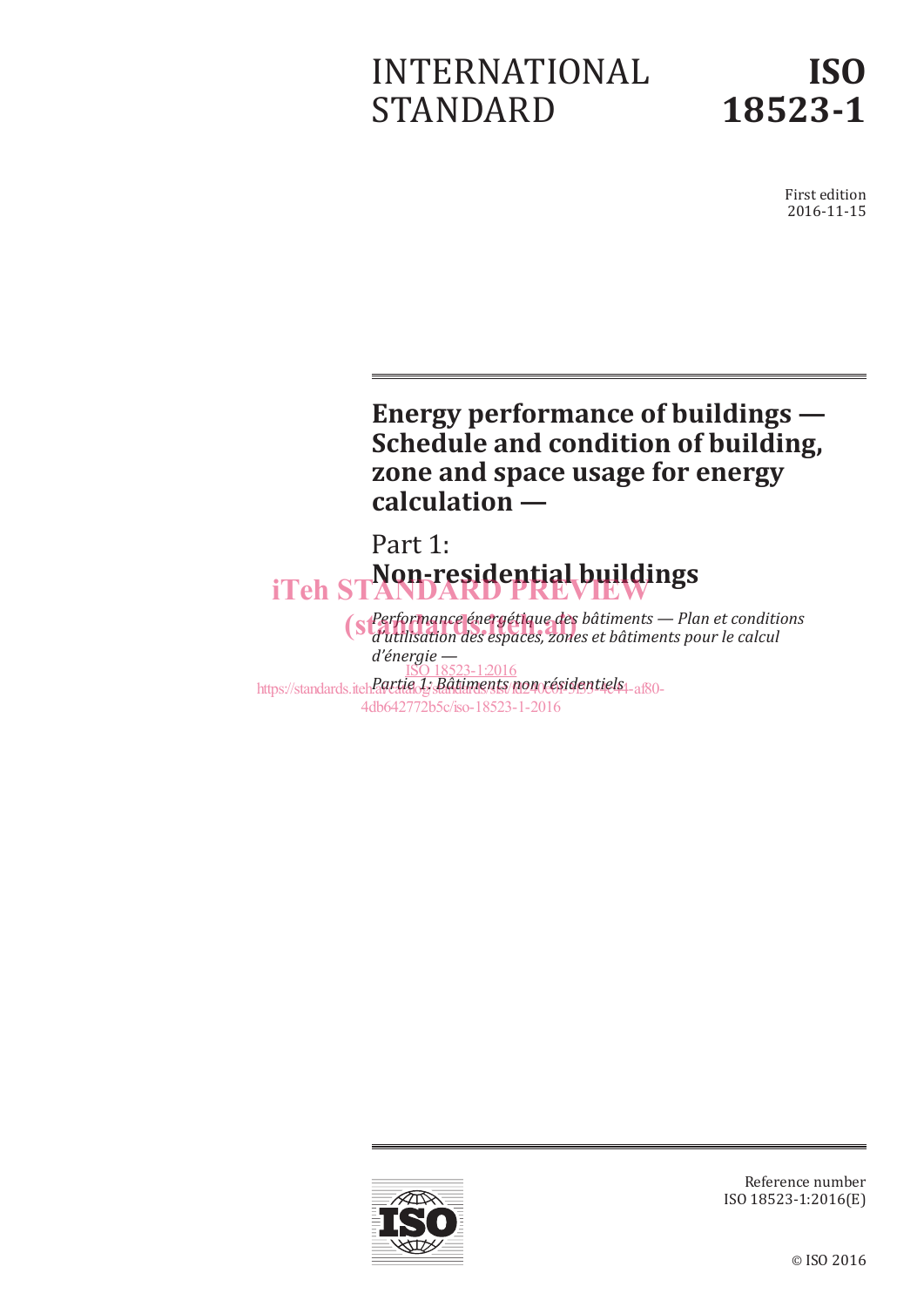# INTERNATIONAL STANDARD



First edition 2016-11-15

# **Energy performance of buildings — Schedule and condition of building, zone and space usage for energy calculation —**

Part 1: **Non-residential buildings** iTeh STANDARD PREVIEW

*Performance énergétique des bâtiments — Plan et conditions (s Performance énergétique des bâtiments — Plan et conditional des espaces, zones et bâtiments pour le calcul d'énergie — Partie 1: Bâtiments non résidentiels* ISO 18523-1:2016 https://standards.iteh.*arctue.l.; Bâtuments/nonoées1gent1els*4-af80-4db642772b5c/iso-18523-1-2016



Reference number ISO 18523-1:2016(E)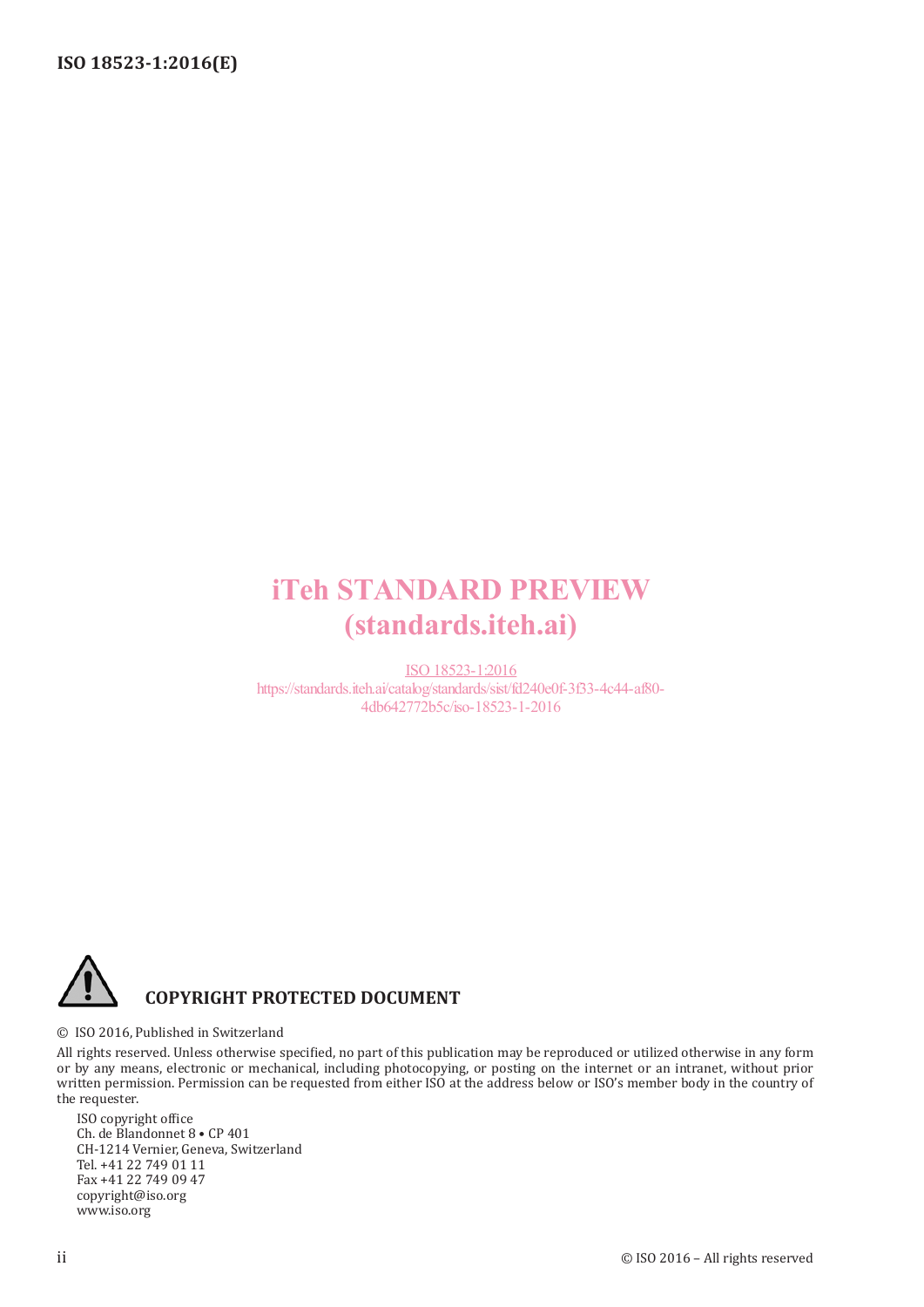# iTeh STANDARD PREVIEW (standards.iteh.ai)

ISO 18523-1:2016 https://standards.iteh.ai/catalog/standards/sist/fd240e0f-3f33-4c44-af80- 4db642772b5c/iso-18523-1-2016



#### © ISO 2016, Published in Switzerland

All rights reserved. Unless otherwise specified, no part of this publication may be reproduced or utilized otherwise in any form or by any means, electronic or mechanical, including photocopying, or posting on the internet or an intranet, without prior written permission. Permission can be requested from either ISO at the address below or ISO's member body in the country of the requester.

ISO copyright office Ch. de Blandonnet 8 • CP 401 CH-1214 Vernier, Geneva, Switzerland Tel. +41 22 749 01 11 Fax +41 22 749 09 47 copyright@iso.org www.iso.org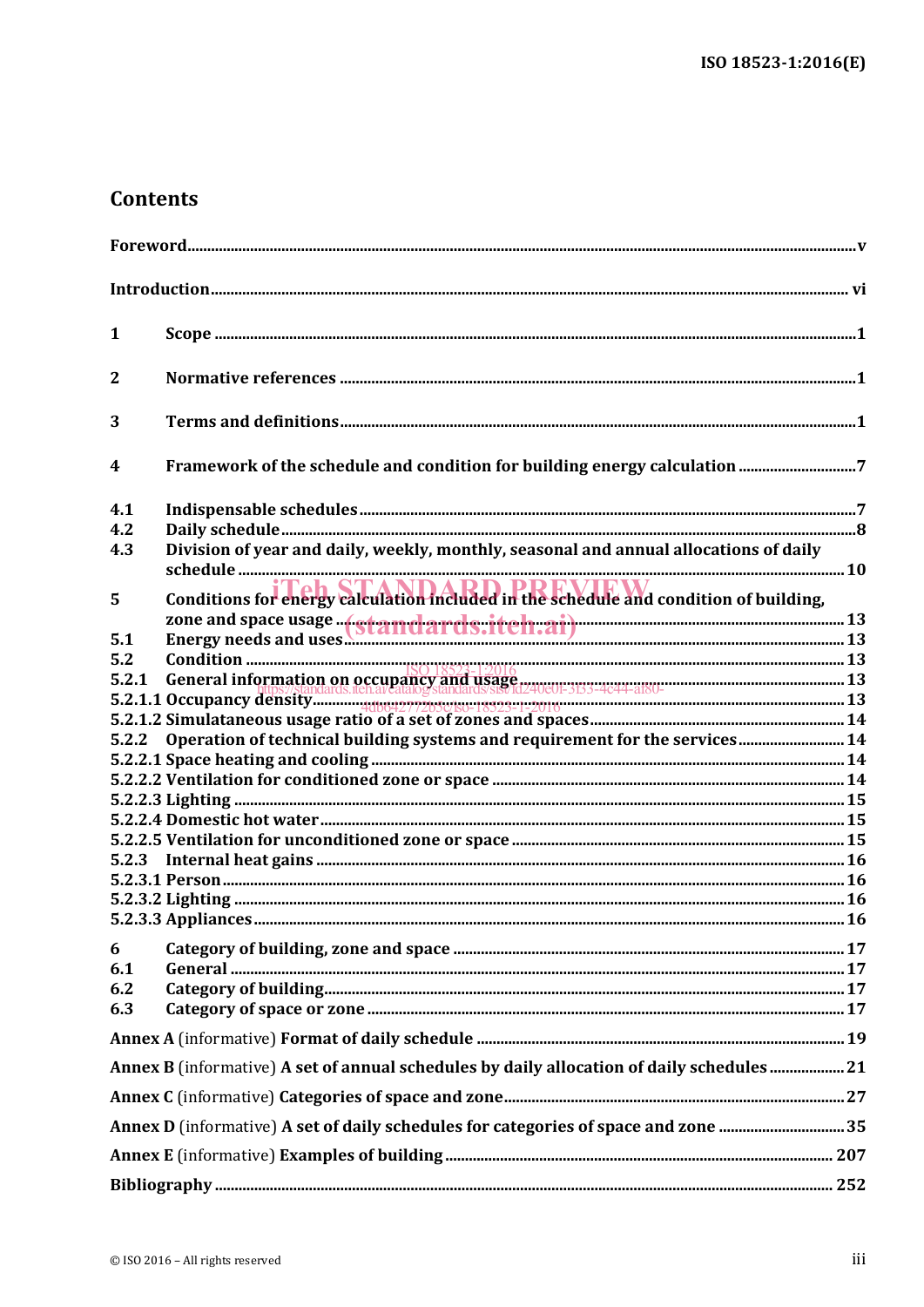# **Contents**

| $\mathbf{1}$            |                                                                                            |  |
|-------------------------|--------------------------------------------------------------------------------------------|--|
| $\overline{2}$          |                                                                                            |  |
| 3                       |                                                                                            |  |
| $\overline{\mathbf{4}}$ |                                                                                            |  |
| 4.1                     |                                                                                            |  |
| 4.2                     |                                                                                            |  |
| 4.3                     | Division of year and daily, weekly, monthly, seasonal and annual allocations of daily      |  |
| 5                       |                                                                                            |  |
|                         |                                                                                            |  |
| 5.1                     |                                                                                            |  |
| 5.2                     |                                                                                            |  |
|                         |                                                                                            |  |
|                         |                                                                                            |  |
|                         |                                                                                            |  |
| 5.2.2                   | Operation of technical building systems and requirement for the services 14                |  |
|                         |                                                                                            |  |
|                         |                                                                                            |  |
|                         |                                                                                            |  |
|                         |                                                                                            |  |
| 5.2.3                   |                                                                                            |  |
|                         |                                                                                            |  |
|                         |                                                                                            |  |
|                         |                                                                                            |  |
|                         |                                                                                            |  |
| 6                       |                                                                                            |  |
| 6.1<br>6.2              |                                                                                            |  |
| 6.3                     |                                                                                            |  |
|                         |                                                                                            |  |
|                         |                                                                                            |  |
|                         | Annex B (informative) A set of annual schedules by daily allocation of daily schedules  21 |  |
|                         |                                                                                            |  |
|                         | Annex D (informative) A set of daily schedules for categories of space and zone 35         |  |
|                         |                                                                                            |  |
|                         |                                                                                            |  |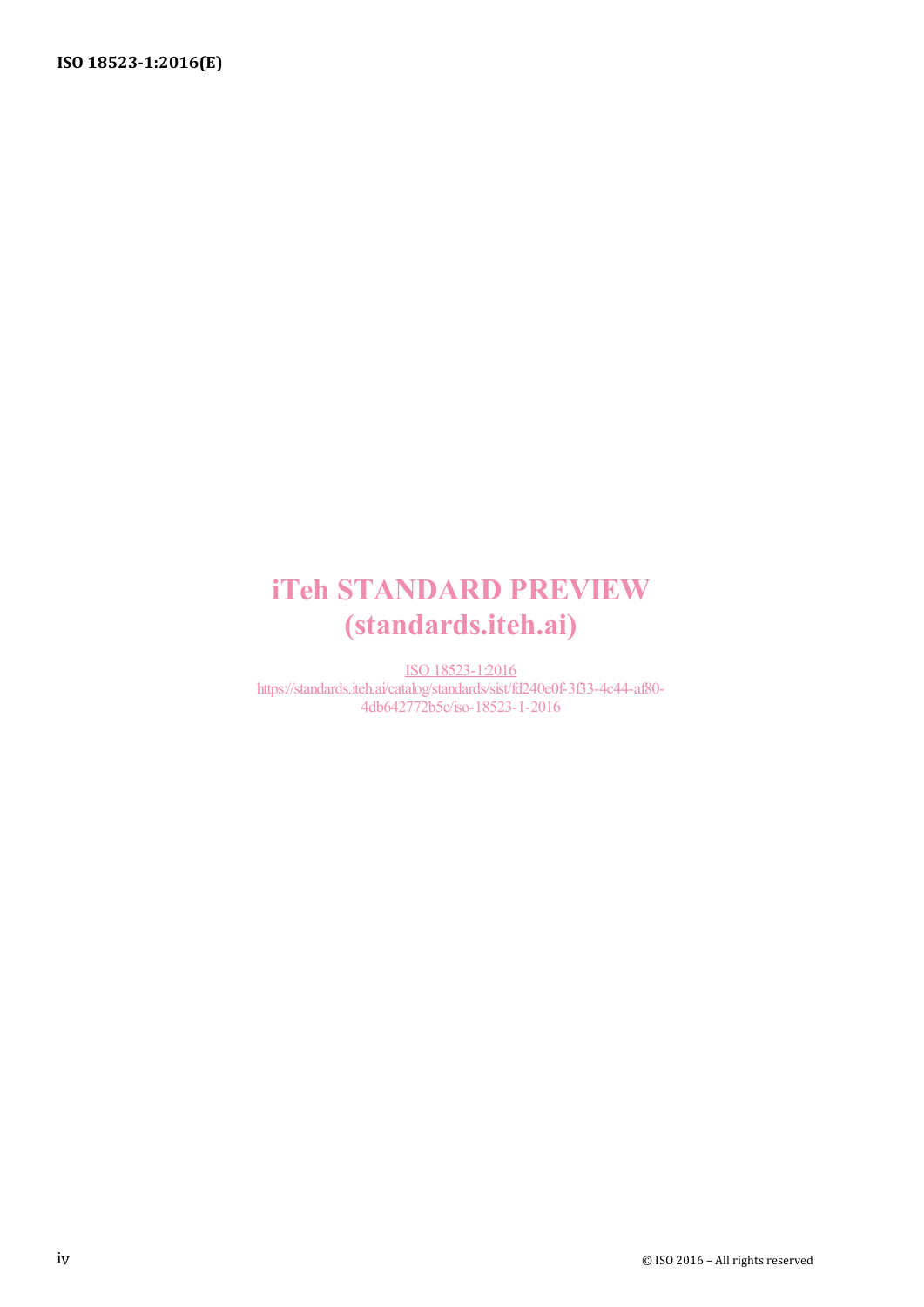# iTeh STANDARD PREVIEW (standards.iteh.ai)

ISO 18523-1:2016 https://standards.iteh.ai/catalog/standards/sist/fd240e0f-3f33-4c44-af80- 4db642772b5c/iso-18523-1-2016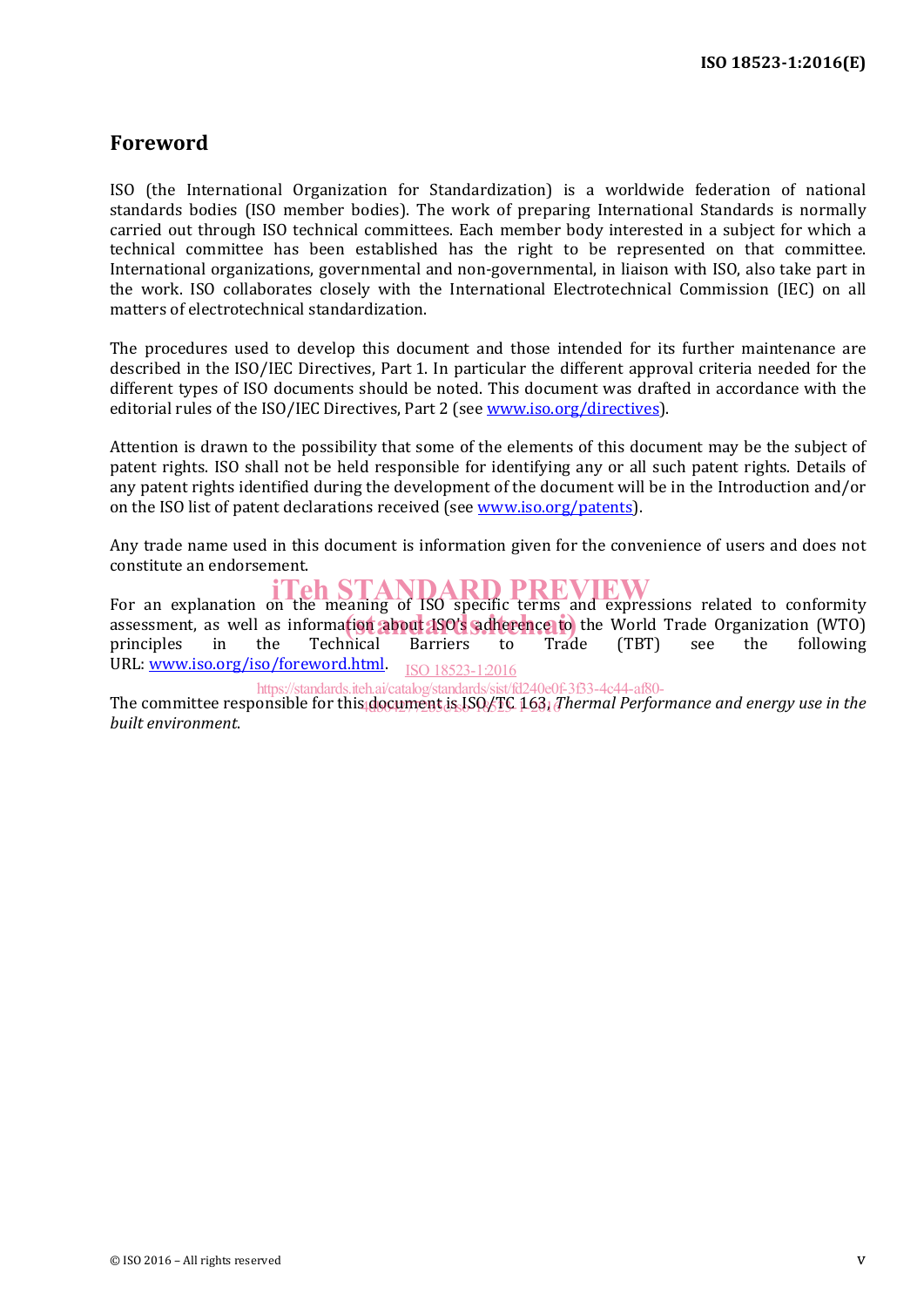### **Foreword**

ISO (the International Organization for Standardization) is a worldwide federation of national standards bodies (ISO member bodies). The work of preparing International Standards is normally carried out through ISO technical committees. Each member body interested in a subject for which a technical committee has been established has the right to be represented on that committee. International organizations, governmental and non-governmental, in liaison with ISO, also take part in the work. ISO collaborates closely with the International Electrotechnical Commission (IEC) on all matters of electrotechnical standardization.

The procedures used to develop this document and those intended for its further maintenance are described in the ISO/IEC Directives. Part 1. In particular the different approval criteria needed for the different types of ISO documents should be noted. This document was drafted in accordance with the editorial rules of the ISO/IEC Directives, Part 2 (see www.iso.org/directives).

Attention is drawn to the possibility that some of the elements of this document may be the subject of patent rights. ISO shall not be held responsible for identifying any or all such patent rights. Details of any patent rights identified during the development of the document will be in the Introduction and/or on the ISO list of patent declarations received (see www.iso.org/patents).

Any trade name used in this document is information given for the convenience of users and does not constitute an endorsement.

For an explanation on the meaning of ISO specific terms and expressions related to conformity assessment, as well as information about 1800's adherence to the World Trade Organization (WTO) principles in the Technical Barriers to Trade (TBT) see the following URL: www.iso.org/iso/foreword.html. ISO 18523-1:2016

The committee responsible for this document is ISO/TC 1631 *Thermal Performance and energy use in the built environment*. https://standards.iteh.ai/catalog/standards/sist/fd240e0f-3f33-4c44-af80-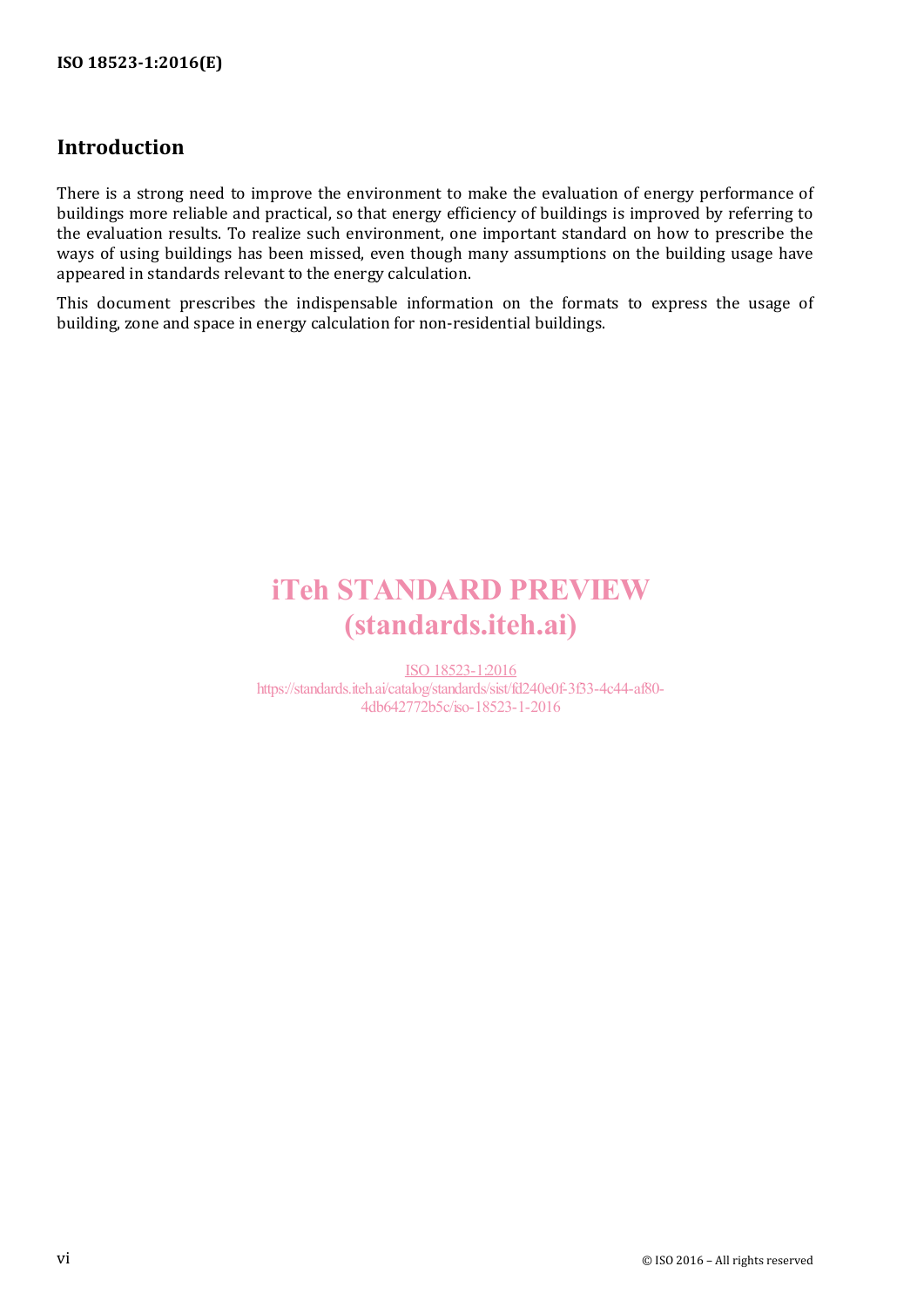### **Introduction**

There is a strong need to improve the environment to make the evaluation of energy performance of buildings more reliable and practical, so that energy efficiency of buildings is improved by referring to the evaluation results. To realize such environment, one important standard on how to prescribe the ways of using buildings has been missed, even though many assumptions on the building usage have appeared in standards relevant to the energy calculation.

This document prescribes the indispensable information on the formats to express the usage of building, zone and space in energy calculation for non-residential buildings.

# iTeh STANDARD PREVIEW (standards.iteh.ai)

ISO 18523-1:2016 https://standards.iteh.ai/catalog/standards/sist/fd240e0f-3f33-4c44-af80- 4db642772b5c/iso-18523-1-2016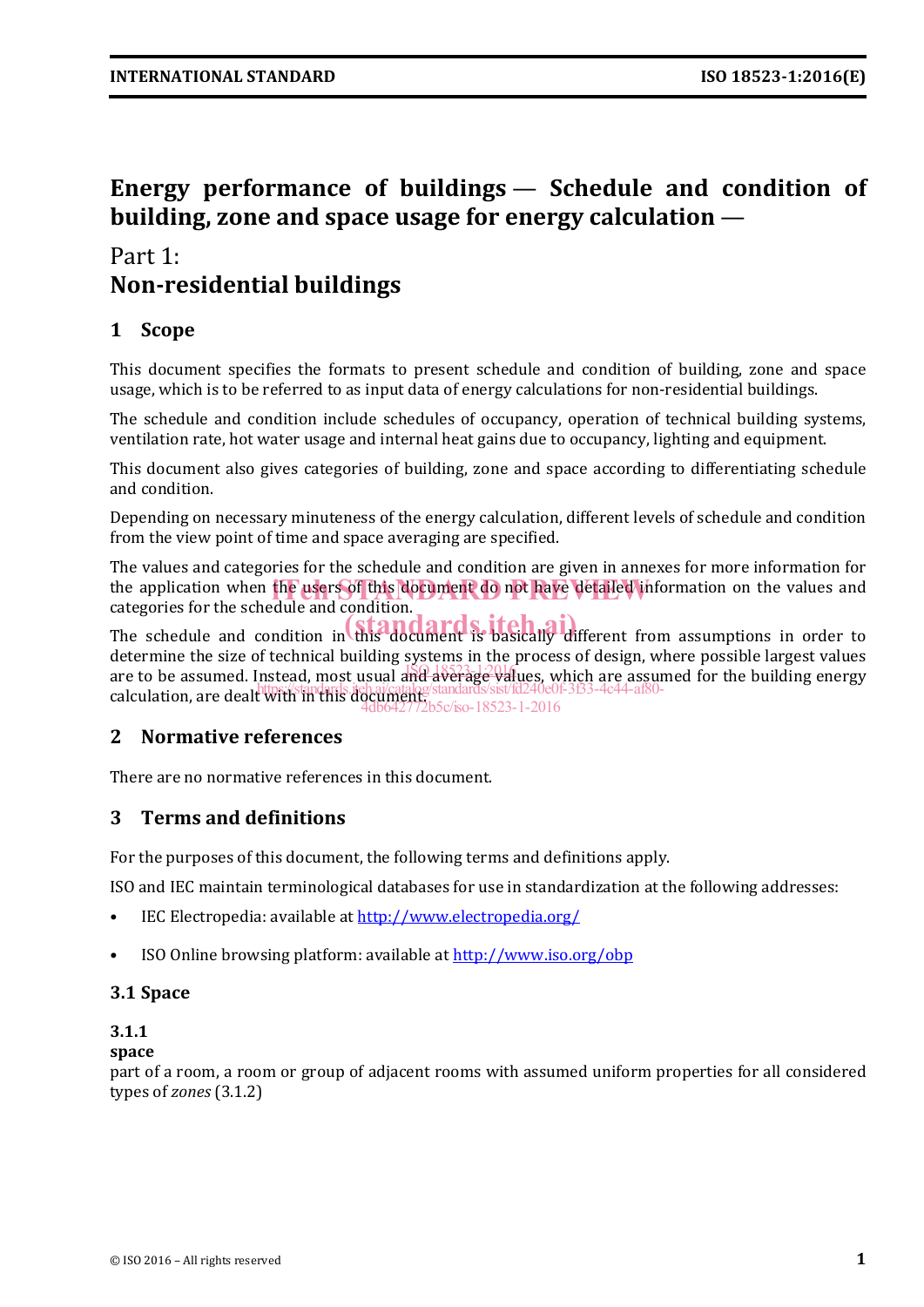# **Energy performance of buildings — Schedule and condition of building, zone and space usage for energy calculation** —

# Part 1: **Non-residential buildings**

### **1 Scope**

This document specifies the formats to present schedule and condition of building, zone and space usage, which is to be referred to as input data of energy calculations for non-residential buildings.

The schedule and condition include schedules of occupancy, operation of technical building systems, ventilation rate, hot water usage and internal heat gains due to occupancy, lighting and equipment.

This document also gives categories of building, zone and space according to differentiating schedule and condition.

Depending on necessary minuteness of the energy calculation, different levels of schedule and condition from the view point of time and space averaging are specified.

The values and categories for the schedule and condition are given in annexes for more information for the application when the users of this document do not have detailed information on the values and categories for the schedule and condition.

The schedule and condition in  $\begin{bmatrix} \text{tand order} \\ \text{tand order} \end{bmatrix}$  is basically different from assumptions in order to determine the size of technical building systems in the process of design, where possible largest values are to be assumed. Instead, most usual and average values, which are assumed for the building energy are to be assumed. https://standards.iteh.ai/catalog/standards/sist/fd240e0f-3f33-4c44-af80-<br>calculation, are dealt with in this document.  $5c/iso-18523-1-2016$ 

### **2 Normative references**

There are no normative references in this document.

### **3 Terms and definitions**

For the purposes of this document, the following terms and definitions apply.

ISO and IEC maintain terminological databases for use in standardization at the following addresses:

- IEC Electropedia: available at http://www.electropedia.org/
- ISO Online browsing platform: available at http://www.iso.org/obp

#### **3.1 Space**

#### **3.1.1**

#### **space**

part of a room, a room or group of adjacent rooms with assumed uniform properties for all considered types of *zones* (3.1.2)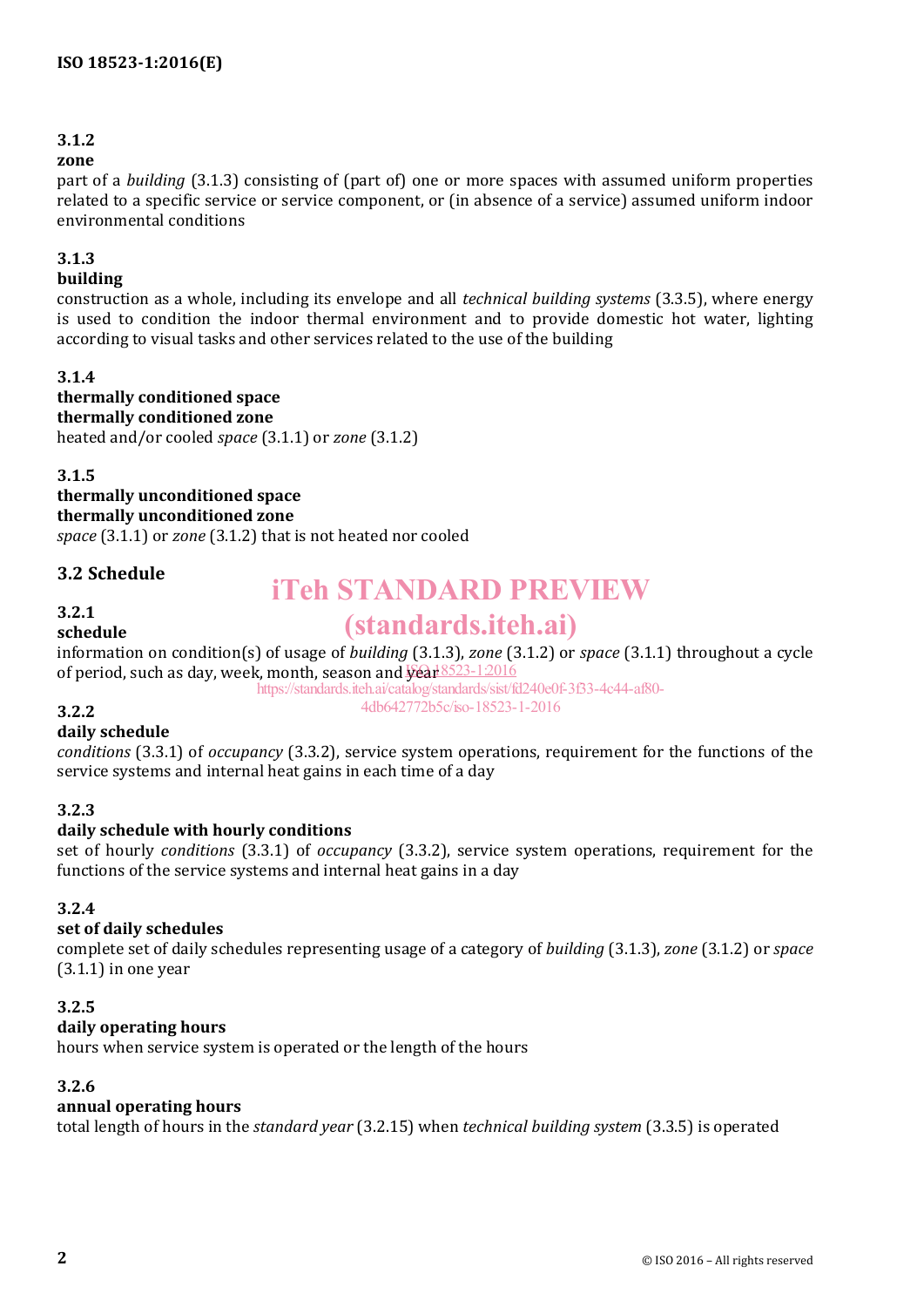### **3.1.2**

#### **zone**

part of a *building* (3.1.3) consisting of (part of) one or more spaces with assumed uniform properties related to a specific service or service component, or (in absence of a service) assumed uniform indoor environmental conditions

#### **3.1.3**

#### **building**

construction as a whole, including its envelope and all *technical building systems* (3.3.5), where energy is used to condition the indoor thermal environment and to provide domestic hot water, lighting according to visual tasks and other services related to the use of the building

#### **3.1.4**

**thermally conditioned space thermally conditioned zone**  heated and/or cooled *space* (3.1.1) or *zone* (3.1.2)

#### **3.1.5**

**thermally unconditioned space thermally unconditioned zone** 

*space* (3.1.1) or *zone* (3.1.2) that is not heated nor cooled

### **3.2 Schedule**

#### **3.2.1**

#### **schedule**

# iTeh STANDARD PREVIEW

# (standards.iteh.ai)

information on condition(s) of usage of *building* (3.1.3), *zone* (3.1.2) or *space* (3.1.1) throughout a cycle of period, such as day, week, month, season and  $\frac{1}{2}$   $\frac{2016}{2016}$ 

https://standards.iteh.ai/catalog/standards/sist/fd240e0f-3f33-4c44-af80-

4db642772b5c/iso-18523-1-2016

#### **3.2.2 daily schedule**

*conditions* (3.3.1) of *occupancy* (3.3.2), service system operations, requirement for the functions of the service systems and internal heat gains in each time of a day

#### **3.2.3**

#### **daily schedule with hourly conditions**

set of hourly *conditions* (3.3.1) of *occupancy* (3.3.2), service system operations, requirement for the functions of the service systems and internal heat gains in a day

#### **3.2.4**

#### **set of daily schedules**

complete set of daily schedules representing usage of a category of *building* (3.1.3), *zone* (3.1.2) or *space*  $(3.1.1)$  in one year

#### **3.2.5**

#### **daily operating hours**

hours when service system is operated or the length of the hours

#### **3.2.6**

#### **annual operating hours**

total length of hours in the *standard year* (3.2.15) when *technical building system* (3.3.5) is operated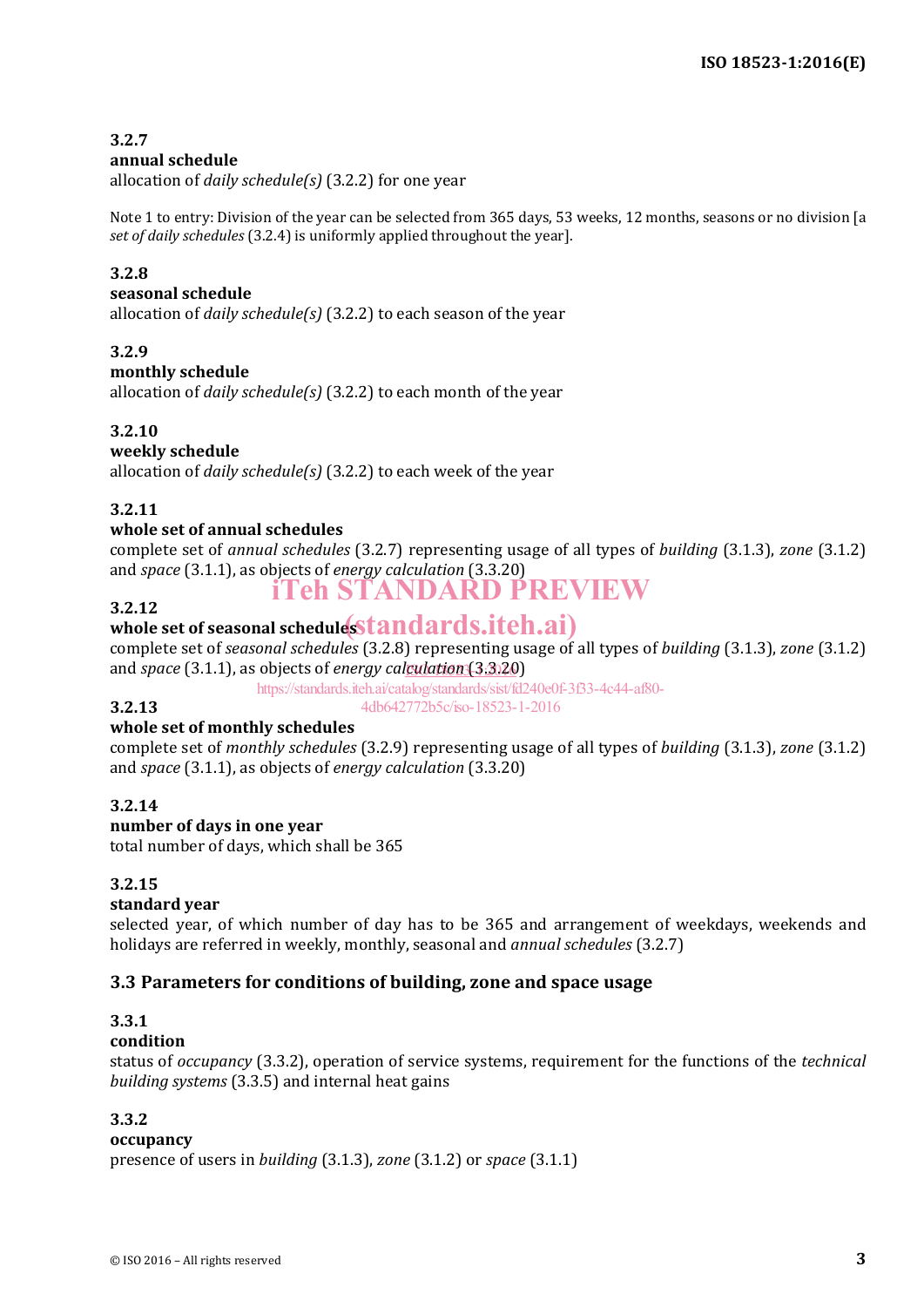#### **3.2.7**

#### **annual schedule**

allocation of *daily schedule(s)* (3.2.2) for one year

Note 1 to entry: Division of the year can be selected from 365 days, 53 weeks, 12 months, seasons or no division [a *set of daily schedules* (3.2.4) is uniformly applied throughout the year].

#### **3.2.8**

#### **seasonal schedule**

allocation of *daily schedule(s)* (3.2.2) to each season of the year

#### **3.2.9**

#### **monthly schedule**

allocation of *daily schedule(s)* (3.2.2) to each month of the year

#### **3.2.10**

### **weekly schedule**

allocation of *daily schedule(s)* (3.2.2) to each week of the year

#### **3.2.11**

#### **whole set of annual schedules**

complete set of *annual schedules* (3.2.7) representing usage of all types of *building* (3.1.3), *zone* (3.1.2) and *space* (3.1.1), as objects of *energy calculation* (3.3.20) iTeh STANDARD PREVIEW

#### **3.2.12**

**3.2.13** 

# 3.2.12<br>whole set of seasonal schedule<mark>sStandards.iteh.ai</mark>)

complete set of *seasonal schedules* (3.2.8) representing usage of all types of *building* (3.1.3), *zone* (3.1.2) and *space* (3.1.1), as objects of *energy calculation* (3.3.20)

https://standards.iteh.ai/catalog/standards/sist/fd240e0f-3f33-4c44-af80-

4db642772b5c/iso-18523-1-2016

#### **whole set of monthly schedules**

complete set of *monthly schedules* (3.2.9) representing usage of all types of *building* (3.1.3), *zone* (3.1.2) and *space* (3.1.1), as objects of *energy calculation* (3.3.20)

#### **3.2.14**

#### **number of days in one year**

total number of days, which shall be 365

#### **3.2.15**

#### **standard year**

selected year, of which number of day has to be 365 and arrangement of weekdays, weekends and holidays are referred in weekly, monthly, seasonal and *annual schedules* (3.2.7)

#### **3.3 Parameters for conditions of building, zone and space usage**

#### **3.3.1**

#### **condition**

status of *occupancy* (3.3.2), operation of service systems, requirement for the functions of the *technical building systems* (3.3.5) and internal heat gains

#### **3.3.2**

#### **occupancy**

presence of users in *building* (3.1.3), *zone* (3.1.2) or *space* (3.1.1)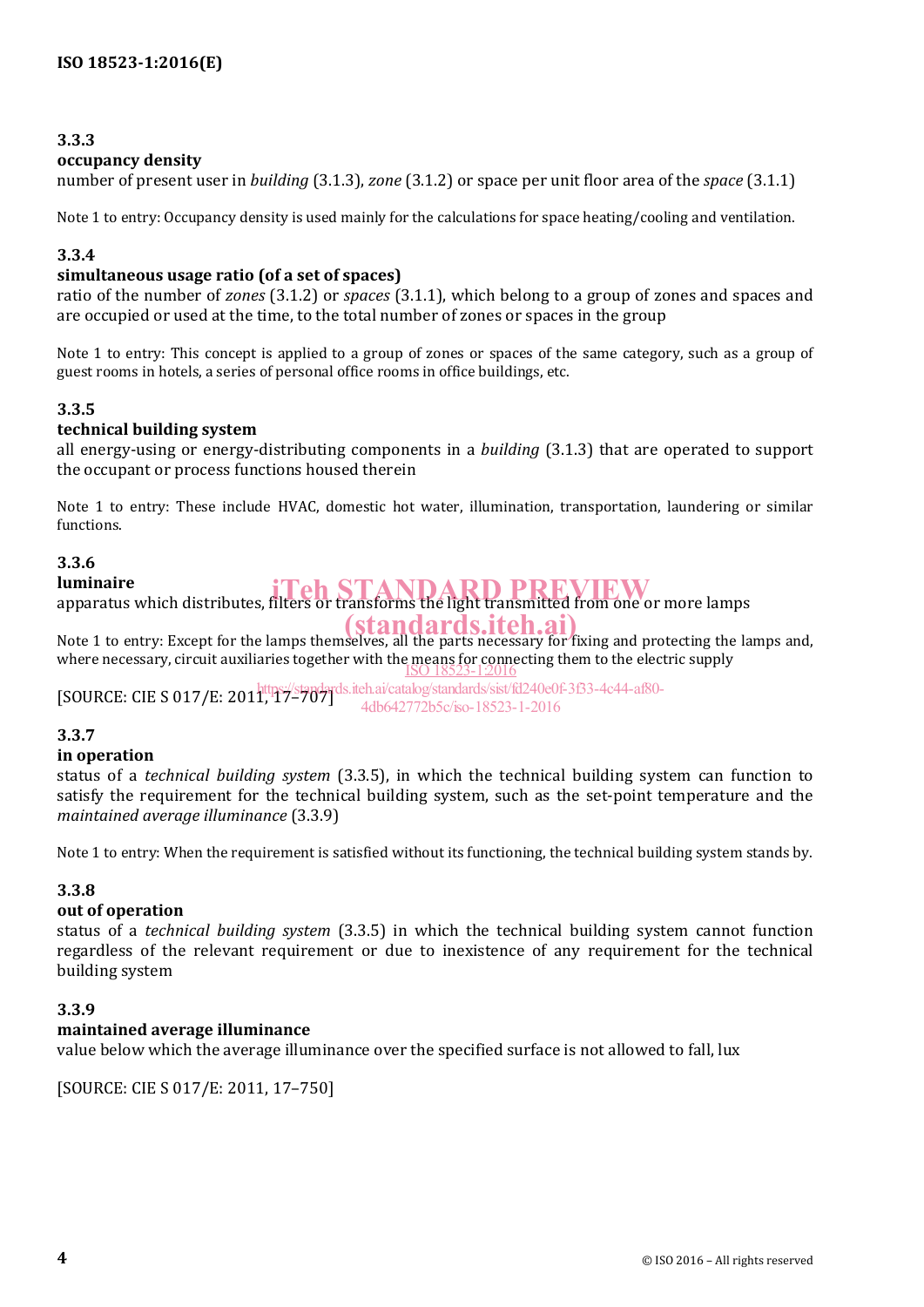#### **3.3.3**

#### **occupancy density**

number of present user in *building* (3.1.3), *zone* (3.1.2) or space per unit floor area of the *space* (3.1.1)

Note 1 to entry: Occupancy density is used mainly for the calculations for space heating/cooling and ventilation.

#### **3.3.4**

#### **simultaneous usage ratio (of a set of spaces)**

ratio of the number of *zones* (3.1.2) or *spaces* (3.1.1), which belong to a group of zones and spaces and are occupied or used at the time, to the total number of zones or spaces in the group

Note 1 to entry: This concept is applied to a group of zones or spaces of the same category, such as a group of guest rooms in hotels, a series of personal office rooms in office buildings, etc.

#### **3.3.5**

#### **technical building system**

all energy-using or energy-distributing components in a *building* (3.1.3) that are operated to support the occupant or process functions housed therein

Note 1 to entry: These include HVAC, domestic hot water, illumination, transportation, laundering or similar functions. 

#### **3.3.6**

#### **luminaire**

**luminaire**<br>apparatus which distributes, filters or transforms the light transmitted from one or more lamps

Note 1 to entry: Except for the lamps themselves, all the parts necessary for fixing and protecting the lamps and, where necessary, circuit auxiliaries together with the means for connecting them to the electric supply ISO 18523-1:2016

[SOURCE: CIE S 017/E: 2011, 17–707] https://standards.iteh.ai/catalog/standards/sist/fd240e0f-3f33-4c44-af80- 4db642772b5c/iso-18523-1-2016

#### **3.3.7**

#### **in operation**

status of a *technical building system* (3.3.5), in which the technical building system can function to satisfy the requirement for the technical building system, such as the set-point temperature and the *maintained average illuminance* (3.3.9) 

Note 1 to entry: When the requirement is satisfied without its functioning, the technical building system stands by.

#### **3.3.8**

#### **out of operation**

status of a *technical building system* (3.3.5) in which the technical building system cannot function regardless of the relevant requirement or due to inexistence of any requirement for the technical building system

#### **3.3.9**

#### **maintained average illuminance**

value below which the average illuminance over the specified surface is not allowed to fall, lux

[SOURCE: CIE S 017/E: 2011, 17-750]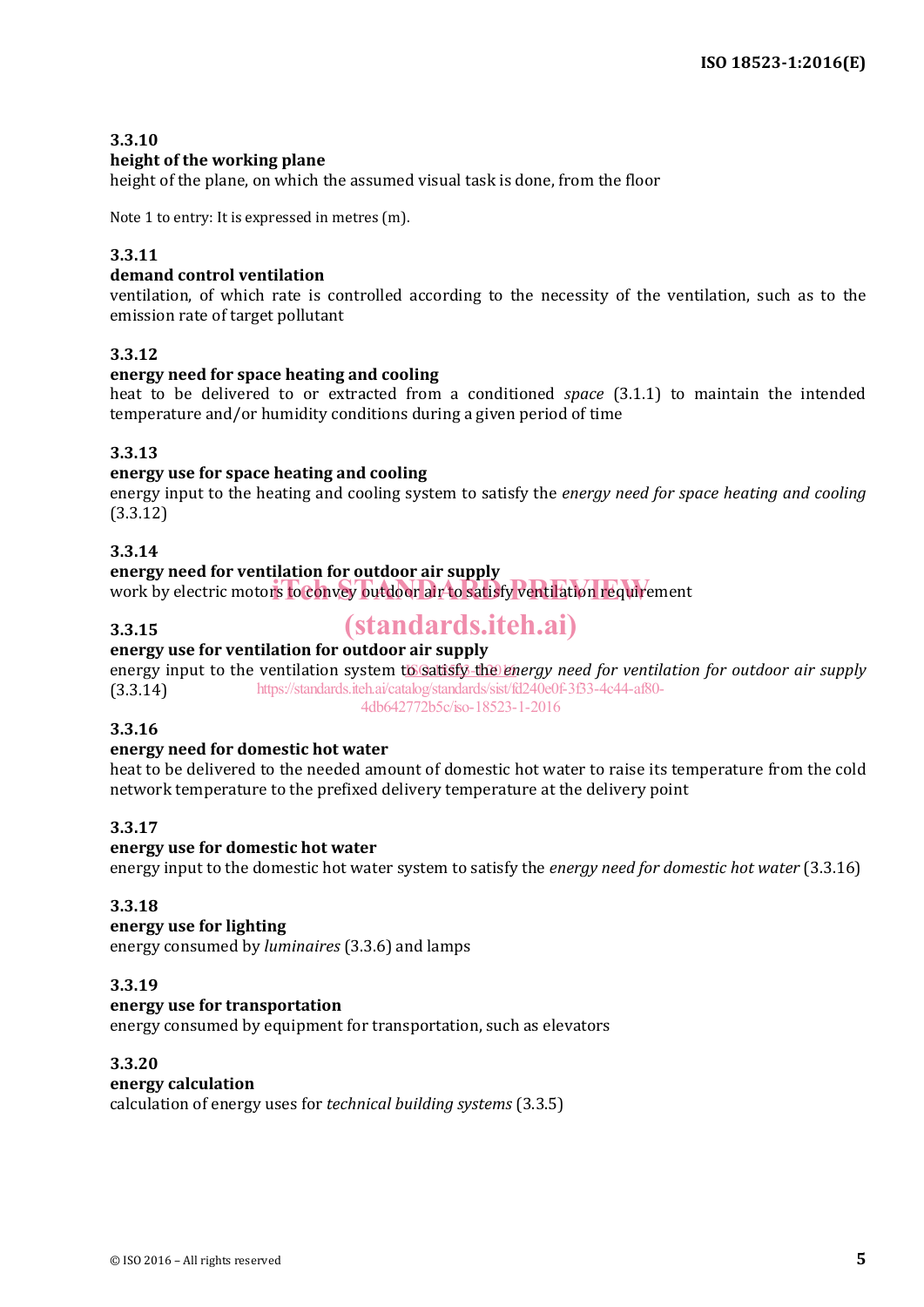### **3.3.10**

#### **height of the working plane**

height of the plane, on which the assumed visual task is done, from the floor

Note 1 to entry: It is expressed in metres  $(m)$ .

#### **3.3.11**

#### **demand control ventilation**

ventilation, of which rate is controlled according to the necessity of the ventilation, such as to the emission rate of target pollutant

#### **3.3.12**

#### **energy need for space heating and cooling**

heat to be delivered to or extracted from a conditioned *space* (3.1.1) to maintain the intended temperature and/or humidity conditions during a given period of time

#### **3.3.13**

#### **energy use for space heating and cooling**

energy input to the heating and cooling system to satisfy the *energy need for space heating and cooling* (3.3.12) 

#### **3.3.14**

#### **energy need for ventilation for outdoor air supply**

energy need for ventifiation for outdoor air supply<br>work by electric motors to convey outdoor air to satisfy ventilation requirement

#### **3.3.15**

# (standards.iteh.ai)

#### **energy use for ventilation for outdoor air supply**

energy input to the ventilation system to satisfy the energy need for ventilation for outdoor air supply (3.3.14) https://standards.iteh.ai/catalog/standards/sist/fd240e0f-3f33-4c44-af80- 4db642772b5c/iso-18523-1-2016

#### **3.3.16**

#### **energy need for domestic hot water**

heat to be delivered to the needed amount of domestic hot water to raise its temperature from the cold network temperature to the prefixed delivery temperature at the delivery point

#### **3.3.17**

#### **energy use for domestic hot water**

energy input to the domestic hot water system to satisfy the *energy need for domestic hot water* (3.3.16)

#### **3.3.18**

#### **energy use for lighting**

energy consumed by *luminaires* (3.3.6) and lamps 

#### **3.3.19**

#### **energy use for transportation**

energy consumed by equipment for transportation, such as elevators

#### **3.3.20**

#### **energy calculation**

calculation of energy uses for *technical building systems* (3.3.5)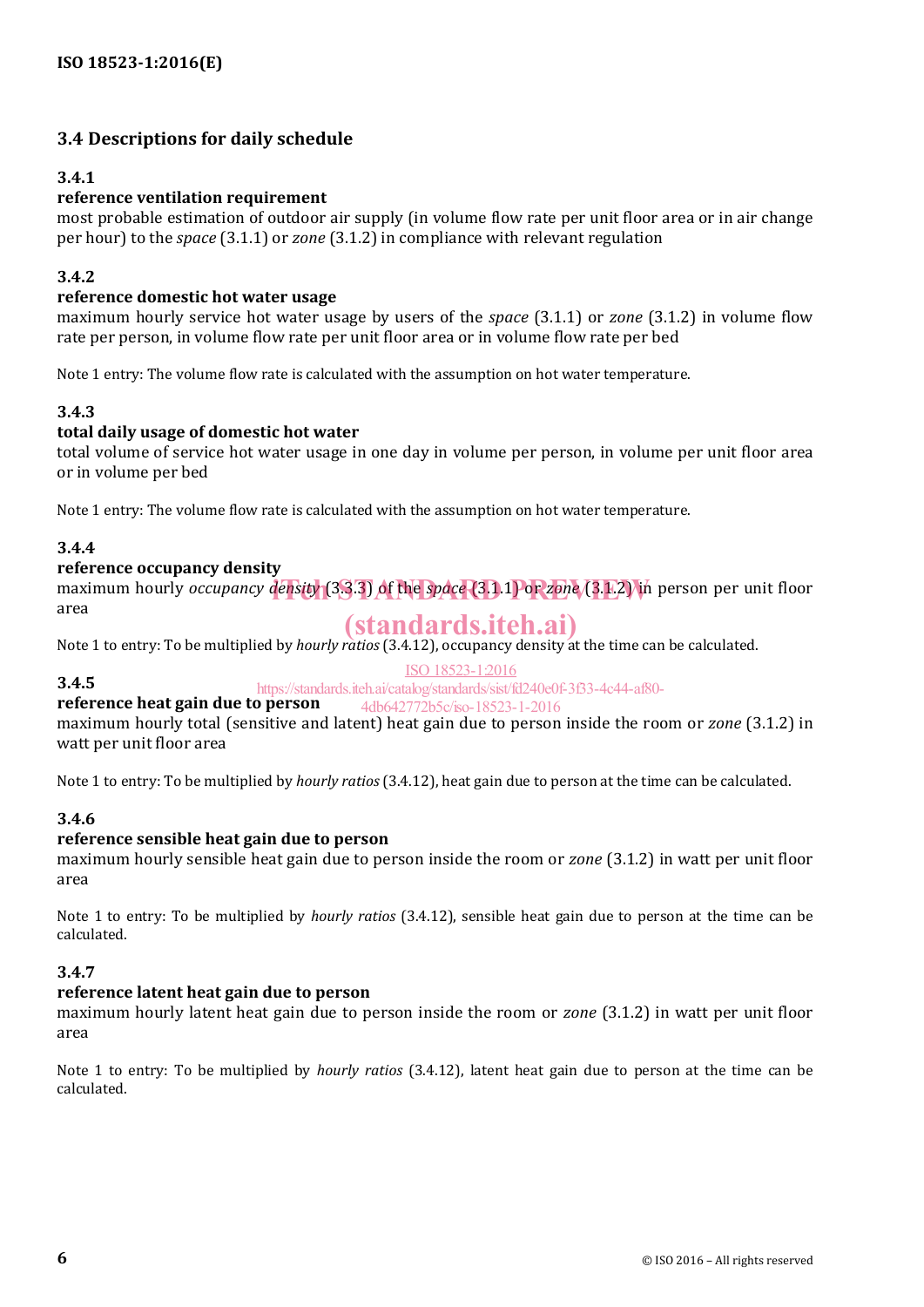### **3.4 Descriptions for daily schedule**

#### **3.4.1**

#### **reference ventilation requirement**

most probable estimation of outdoor air supply (in volume flow rate per unit floor area or in air change per hour) to the *space* (3.1.1) or *zone* (3.1.2) in compliance with relevant regulation

#### **3.4.2**

#### **reference domestic hot water usage**

maximum hourly service hot water usage by users of the *space* (3.1.1) or *zone* (3.1.2) in volume flow rate per person, in volume flow rate per unit floor area or in volume flow rate per bed

Note 1 entry: The volume flow rate is calculated with the assumption on hot water temperature.

#### **3.4.3**

#### **total daily usage of domestic hot water**

total volume of service hot water usage in one day in volume per person, in volume per unit floor area or in volume per bed

Note 1 entry: The volume flow rate is calculated with the assumption on hot water temperature.

#### **3.4.4**

#### **reference occupancy density**

maximum hourly *occupancy* density (3.3.3) of the space (3.1.1) or *zone* (3.1.2) in person per unit floor area 

### (standards.iteh.ai)

Note 1 to entry: To be multiplied by *hourly ratios* (3.4.12), occupancy density at the time can be calculated.

#### ISO 18523-1:2016

**3.4.5**  https://standards.iteh.ai/catalog/standards/sist/fd240e0f-3f33-4c44-af80-

#### **reference heat gain due to person**  4db642772b5c/iso-18523-1-2016

maximum hourly total (sensitive and latent) heat gain due to person inside the room or *zone* (3.1.2) in watt per unit floor area

Note 1 to entry: To be multiplied by *hourly ratios* (3.4.12), heat gain due to person at the time can be calculated.

#### **3.4.6**

#### **reference sensible heat gain due to person**

maximum hourly sensible heat gain due to person inside the room or *zone* (3.1.2) in watt per unit floor area 

Note 1 to entry: To be multiplied by *hourly ratios* (3.4.12), sensible heat gain due to person at the time can be calculated. 

#### **3.4.7**

#### **reference latent heat gain due to person**

maximum hourly latent heat gain due to person inside the room or *zone* (3.1.2) in watt per unit floor area 

Note 1 to entry: To be multiplied by *hourly ratios* (3.4.12), latent heat gain due to person at the time can be calculated.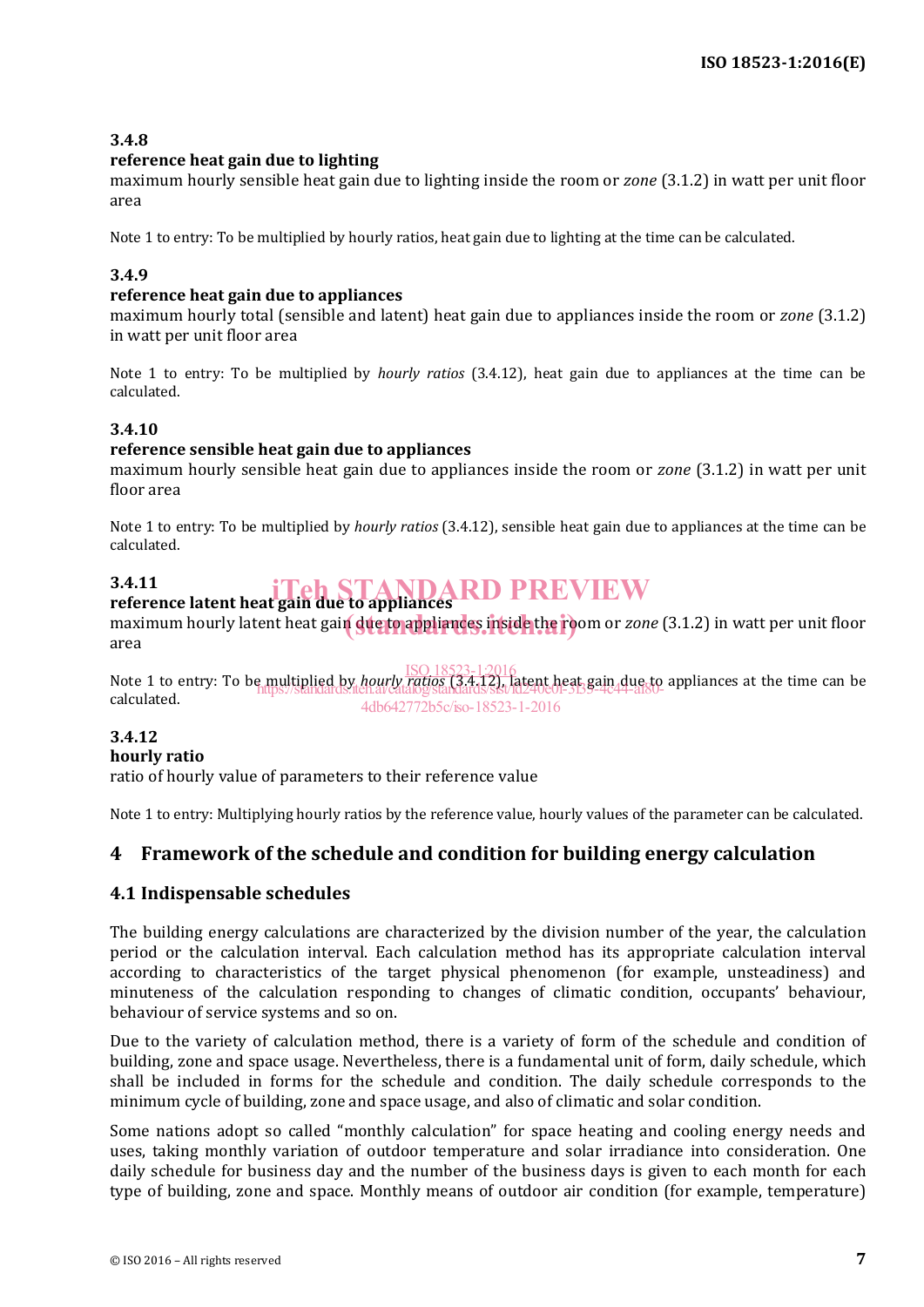#### **3.4.8**

#### **reference heat gain due to lighting**

maximum hourly sensible heat gain due to lighting inside the room or *zone* (3.1.2) in watt per unit floor area 

Note 1 to entry: To be multiplied by hourly ratios, heat gain due to lighting at the time can be calculated.

#### **3.4.9**

#### **reference heat gain due to appliances**

maximum hourly total (sensible and latent) heat gain due to appliances inside the room or *zone* (3.1.2) in watt per unit floor area

Note 1 to entry: To be multiplied by *hourly ratios* (3.4.12), heat gain due to appliances at the time can be calculated. 

#### **3.4.10**

#### **reference sensible heat gain due to appliances**

maximum hourly sensible heat gain due to appliances inside the room or *zone* (3.1.2) in watt per unit floor area

Note 1 to entry: To be multiplied by *hourly ratios* (3.4.12), sensible heat gain due to appliances at the time can be calculated. 

#### **3.4.11 reference latent heat gain due to appliances**  iTeh STANDARD PREVIEW

maximum hourly latent heat gain **due to appliances inside the ro**om or *zone* (3.1.2) in watt per unit floor area 

Note 1 to entry: To be multiplied by *hourly ratios* (3.4.12), latent heat gain due to appliances at the time can be calculated. https://standards.iteh.ai/catalog/standards/sist/fd240e0f-3f33-4c44-af80- 4db642772b5c/iso-18523-1-2016

#### **3.4.12**

#### **hourly ratio**

ratio of hourly value of parameters to their reference value

Note 1 to entry: Multiplying hourly ratios by the reference value, hourly values of the parameter can be calculated.

### **4 Framework of the schedule and condition for building energy calculation**

#### **4.1 Indispensable schedules**

The building energy calculations are characterized by the division number of the year, the calculation period or the calculation interval. Each calculation method has its appropriate calculation interval according to characteristics of the target physical phenomenon (for example, unsteadiness) and minuteness of the calculation responding to changes of climatic condition, occupants' behaviour, behaviour of service systems and so on.

Due to the variety of calculation method, there is a variety of form of the schedule and condition of building, zone and space usage. Nevertheless, there is a fundamental unit of form, daily schedule, which shall be included in forms for the schedule and condition. The daily schedule corresponds to the minimum cycle of building, zone and space usage, and also of climatic and solar condition.

Some nations adopt so called "monthly calculation" for space heating and cooling energy needs and uses, taking monthly variation of outdoor temperature and solar irradiance into consideration. One daily schedule for business day and the number of the business days is given to each month for each type of building, zone and space. Monthly means of outdoor air condition (for example, temperature)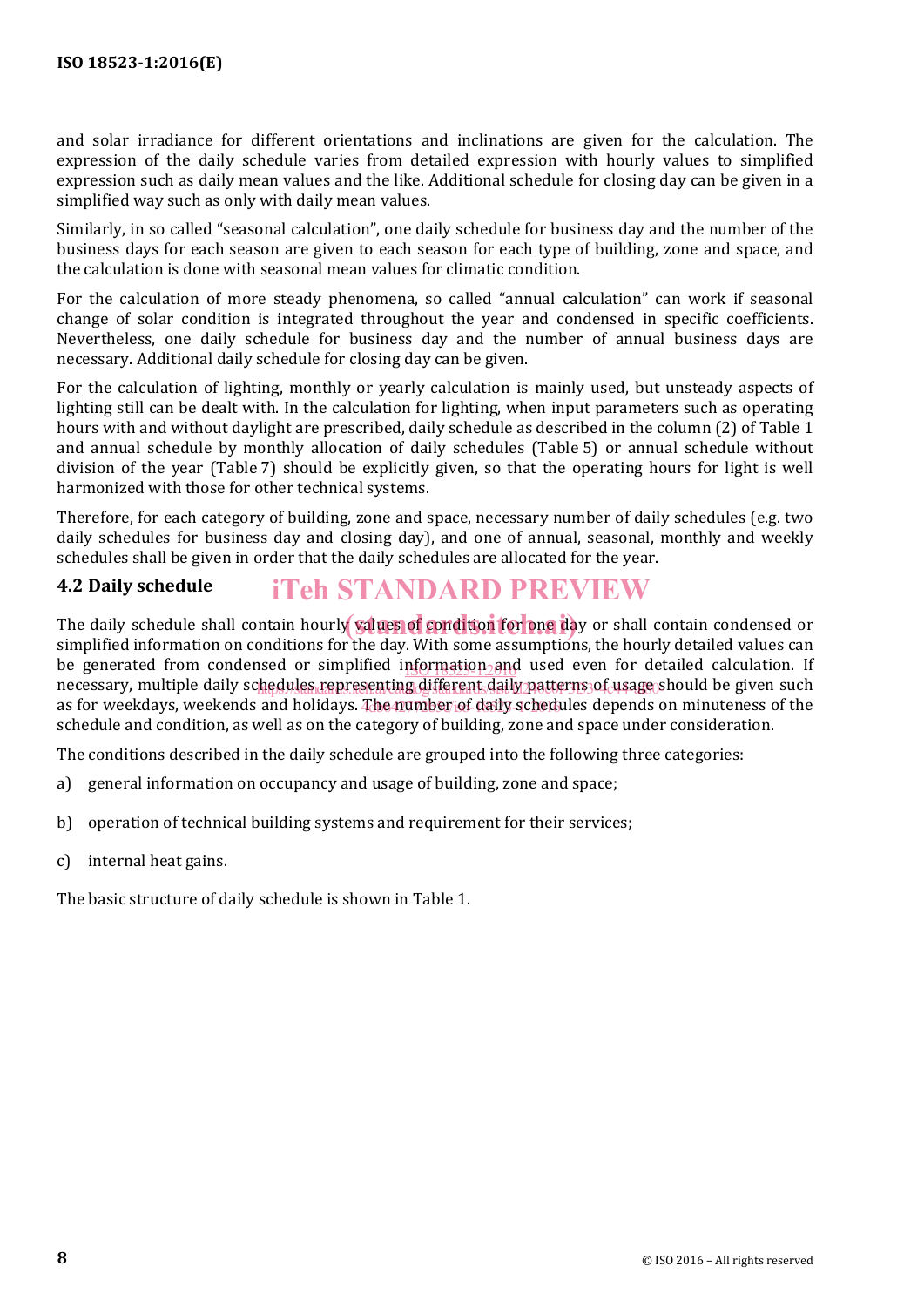and solar irradiance for different orientations and inclinations are given for the calculation. The expression of the daily schedule varies from detailed expression with hourly values to simplified expression such as daily mean values and the like. Additional schedule for closing day can be given in a simplified way such as only with daily mean values.

Similarly, in so called "seasonal calculation", one daily schedule for business day and the number of the business days for each season are given to each season for each type of building, zone and space, and the calculation is done with seasonal mean values for climatic condition.

For the calculation of more steady phenomena, so called "annual calculation" can work if seasonal change of solar condition is integrated throughout the year and condensed in specific coefficients. Nevertheless, one daily schedule for business day and the number of annual business days are necessary. Additional daily schedule for closing day can be given.

For the calculation of lighting, monthly or yearly calculation is mainly used, but unsteady aspects of lighting still can be dealt with. In the calculation for lighting, when input parameters such as operating hours with and without daylight are prescribed, daily schedule as described in the column (2) of Table 1 and annual schedule by monthly allocation of daily schedules (Table 5) or annual schedule without division of the year (Table 7) should be explicitly given, so that the operating hours for light is well harmonized with those for other technical systems.

Therefore, for each category of building, zone and space, necessary number of daily schedules (e.g. two daily schedules for business day and closing day), and one of annual, seasonal, monthly and weekly schedules shall be given in order that the daily schedules are allocated for the year.

#### **4.2 Daily schedule**  iTeh STANDARD PREVIEW

The daily schedule shall contain hourly **values of condition for one day** or shall contain condensed or simplified information on conditions for the day. With some assumptions, the hourly detailed values can be generated from condensed or simplified information and used even for detailed calculation. If necessary, multiple daily sc<u>hedules representing different daily patterns of usage</u> should be given such as for weekdays, weekends and holidays. The number of daily schedules depends on minuteness of the schedule and condition, as well as on the category of building, zone and space under consideration.

The conditions described in the daily schedule are grouped into the following three categories:

- a) general information on occupancy and usage of building, zone and space;
- b) operation of technical building systems and requirement for their services;
- c) internal heat gains.

The basic structure of daily schedule is shown in Table 1.